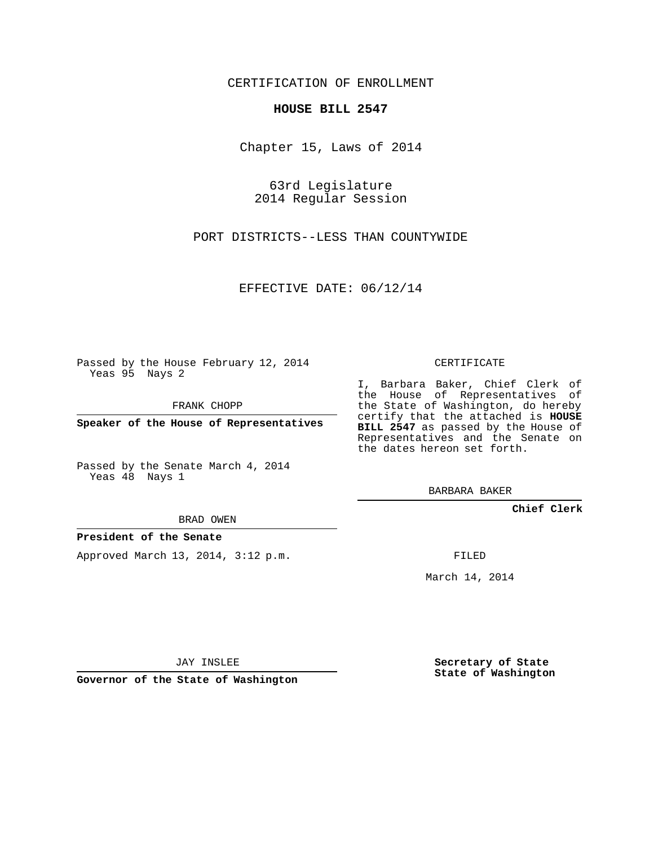CERTIFICATION OF ENROLLMENT

## **HOUSE BILL 2547**

Chapter 15, Laws of 2014

63rd Legislature 2014 Regular Session

PORT DISTRICTS--LESS THAN COUNTYWIDE

EFFECTIVE DATE: 06/12/14

Passed by the House February 12, 2014 Yeas 95 Nays 2

FRANK CHOPP

**Speaker of the House of Representatives**

Passed by the Senate March 4, 2014 Yeas 48 Nays 1

BRAD OWEN

## **President of the Senate**

Approved March 13, 2014, 3:12 p.m.

CERTIFICATE

I, Barbara Baker, Chief Clerk of the House of Representatives of the State of Washington, do hereby certify that the attached is **HOUSE BILL 2547** as passed by the House of Representatives and the Senate on the dates hereon set forth.

BARBARA BAKER

**Chief Clerk**

FILED

March 14, 2014

JAY INSLEE

**Governor of the State of Washington**

**Secretary of State State of Washington**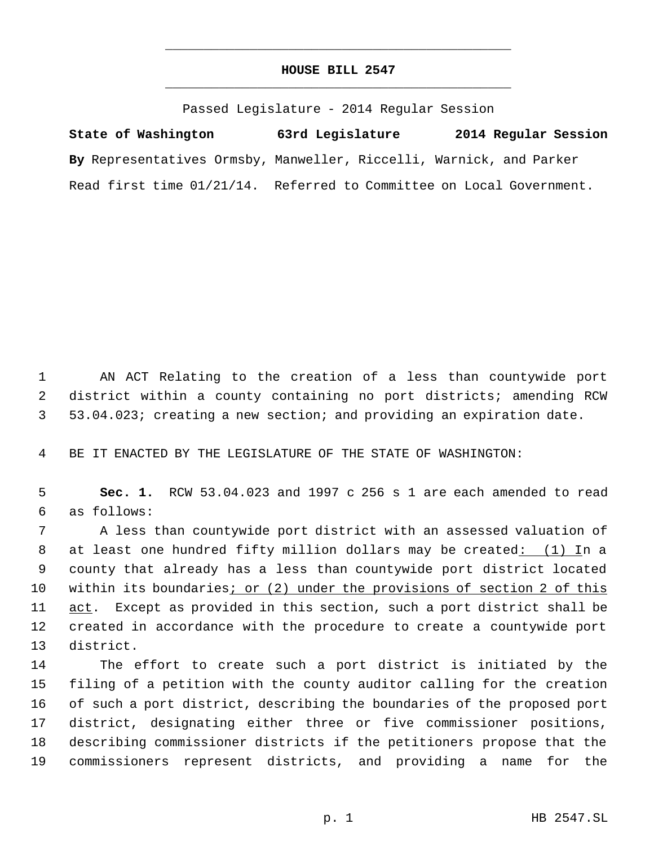## **HOUSE BILL 2547** \_\_\_\_\_\_\_\_\_\_\_\_\_\_\_\_\_\_\_\_\_\_\_\_\_\_\_\_\_\_\_\_\_\_\_\_\_\_\_\_\_\_\_\_\_

\_\_\_\_\_\_\_\_\_\_\_\_\_\_\_\_\_\_\_\_\_\_\_\_\_\_\_\_\_\_\_\_\_\_\_\_\_\_\_\_\_\_\_\_\_

Passed Legislature - 2014 Regular Session

**State of Washington 63rd Legislature 2014 Regular Session By** Representatives Ormsby, Manweller, Riccelli, Warnick, and Parker Read first time 01/21/14. Referred to Committee on Local Government.

 AN ACT Relating to the creation of a less than countywide port district within a county containing no port districts; amending RCW 53.04.023; creating a new section; and providing an expiration date.

BE IT ENACTED BY THE LEGISLATURE OF THE STATE OF WASHINGTON:

 **Sec. 1.** RCW 53.04.023 and 1997 c 256 s 1 are each amended to read as follows:

 A less than countywide port district with an assessed valuation of 8 at least one hundred fifty million dollars may be created: (1) In a county that already has a less than countywide port district located within its boundaries; or (2) under the provisions of section 2 of this 11 act. Except as provided in this section, such a port district shall be created in accordance with the procedure to create a countywide port district.

 The effort to create such a port district is initiated by the filing of a petition with the county auditor calling for the creation of such a port district, describing the boundaries of the proposed port district, designating either three or five commissioner positions, describing commissioner districts if the petitioners propose that the commissioners represent districts, and providing a name for the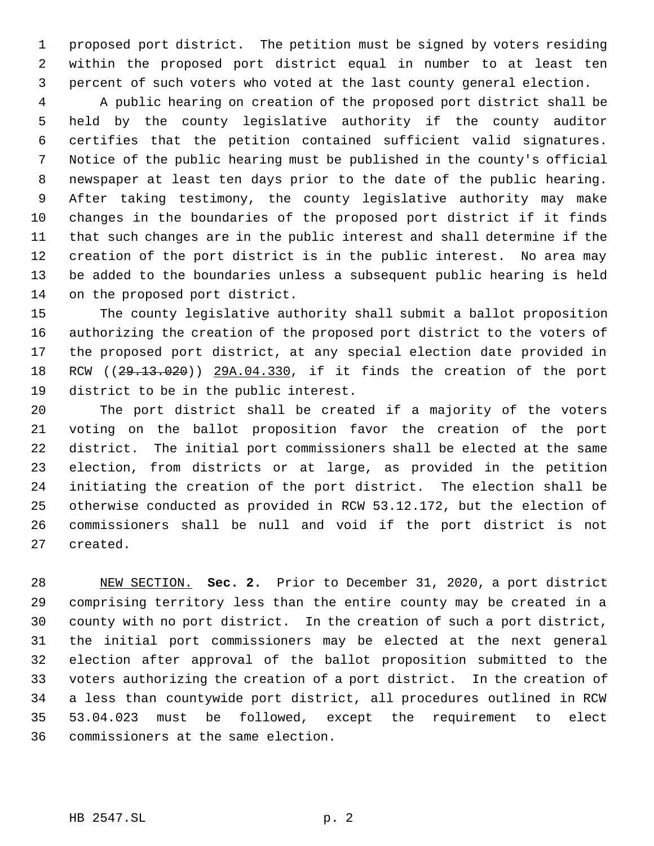proposed port district. The petition must be signed by voters residing within the proposed port district equal in number to at least ten percent of such voters who voted at the last county general election.

 A public hearing on creation of the proposed port district shall be held by the county legislative authority if the county auditor certifies that the petition contained sufficient valid signatures. Notice of the public hearing must be published in the county's official newspaper at least ten days prior to the date of the public hearing. After taking testimony, the county legislative authority may make changes in the boundaries of the proposed port district if it finds that such changes are in the public interest and shall determine if the creation of the port district is in the public interest. No area may be added to the boundaries unless a subsequent public hearing is held on the proposed port district.

 The county legislative authority shall submit a ballot proposition authorizing the creation of the proposed port district to the voters of the proposed port district, at any special election date provided in RCW ((29.13.020)) 29A.04.330, if it finds the creation of the port district to be in the public interest.

 The port district shall be created if a majority of the voters voting on the ballot proposition favor the creation of the port district. The initial port commissioners shall be elected at the same election, from districts or at large, as provided in the petition initiating the creation of the port district. The election shall be otherwise conducted as provided in RCW 53.12.172, but the election of commissioners shall be null and void if the port district is not created.

 NEW SECTION. **Sec. 2.** Prior to December 31, 2020, a port district comprising territory less than the entire county may be created in a county with no port district. In the creation of such a port district, the initial port commissioners may be elected at the next general election after approval of the ballot proposition submitted to the voters authorizing the creation of a port district. In the creation of a less than countywide port district, all procedures outlined in RCW 53.04.023 must be followed, except the requirement to elect commissioners at the same election.